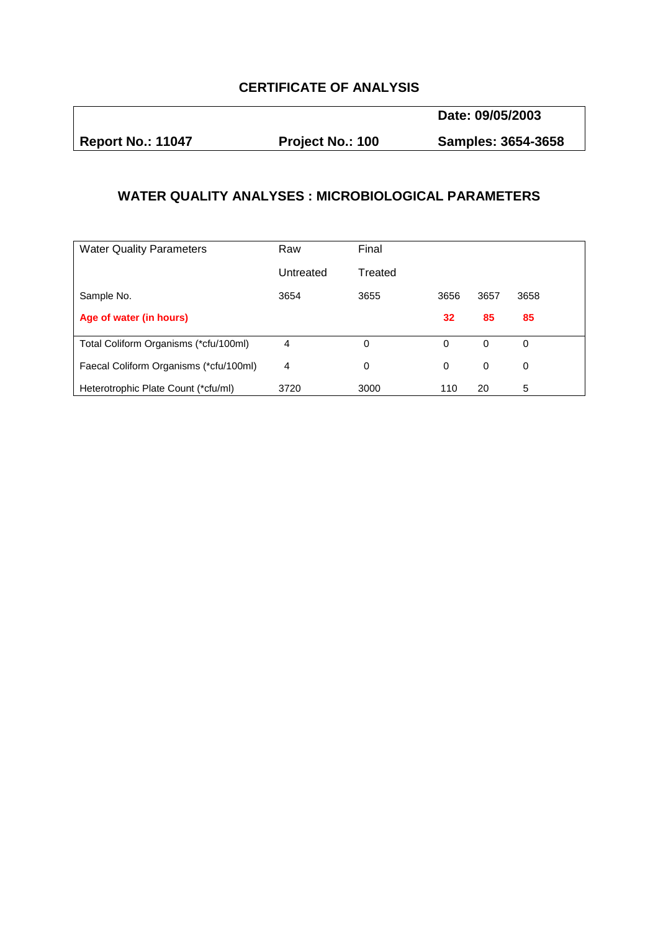## **CERTIFICATE OF ANALYSIS**

**Date: 09/05/2003** 

**Report No.: 11047 Project No.: 100 Samples: 3654-3658** 

## **WATER QUALITY ANALYSES : MICROBIOLOGICAL PARAMETERS**

| <b>Water Quality Parameters</b>        | Raw       | Final    |      |          |      |  |
|----------------------------------------|-----------|----------|------|----------|------|--|
|                                        | Untreated | Treated  |      |          |      |  |
| Sample No.                             | 3654      | 3655     | 3656 | 3657     | 3658 |  |
| Age of water (in hours)                |           |          | 32   | 85       | 85   |  |
| Total Coliform Organisms (*cfu/100ml)  | 4         | $\Omega$ | 0    | $\Omega$ | 0    |  |
| Faecal Coliform Organisms (*cfu/100ml) | 4         | $\Omega$ | 0    | 0        | 0    |  |
| Heterotrophic Plate Count (*cfu/ml)    | 3720      | 3000     | 110  | 20       | 5    |  |